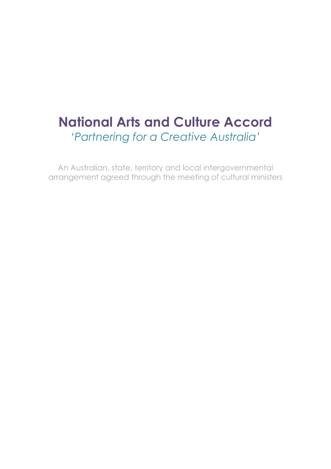# **National Arts and Culture Accord** *'Partnering for a Creative Australia'*

An Australian, state, territory and local intergovernmental arrangement agreed through the meeting of cultural ministers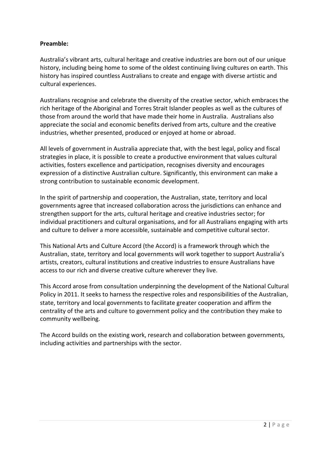#### **Preamble:**

Australia's vibrant arts, cultural heritage and creative industries are born out of our unique history, including being home to some of the oldest continuing living cultures on earth. This history has inspired countless Australians to create and engage with diverse artistic and cultural experiences.

Australians recognise and celebrate the diversity of the creative sector, which embraces the rich heritage of the Aboriginal and Torres Strait Islander peoples as well as the cultures of those from around the world that have made their home in Australia. Australians also appreciate the social and economic benefits derived from arts, culture and the creative industries, whether presented, produced or enjoyed at home or abroad.

All levels of government in Australia appreciate that, with the best legal, policy and fiscal strategies in place, it is possible to create a productive environment that values cultural activities, fosters excellence and participation, recognises diversity and encourages expression of a distinctive Australian culture. Significantly, this environment can make a strong contribution to sustainable economic development.

In the spirit of partnership and cooperation, the Australian, state, territory and local governments agree that increased collaboration across the jurisdictions can enhance and strengthen support for the arts, cultural heritage and creative industries sector; for individual practitioners and cultural organisations, and for all Australians engaging with arts and culture to deliver a more accessible, sustainable and competitive cultural sector.

This National Arts and Culture Accord (the Accord) is a framework through which the Australian, state, territory and local governments will work together to support Australia's artists, creators, cultural institutions and creative industries to ensure Australians have access to our rich and diverse creative culture wherever they live.

This Accord arose from consultation underpinning the development of the National Cultural Policy in 2011. It seeks to harness the respective roles and responsibilities of the Australian, state, territory and local governments to facilitate greater cooperation and affirm the centrality of the arts and culture to government policy and the contribution they make to community wellbeing.

The Accord builds on the existing work, research and collaboration between governments, including activities and partnerships with the sector.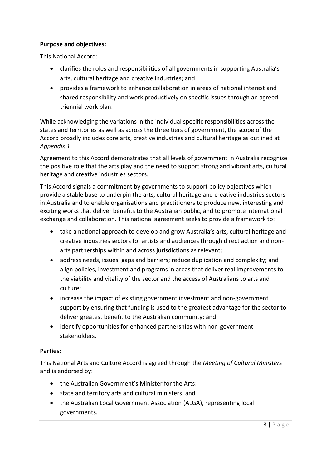## **Purpose and objectives:**

This National Accord:

- clarifies the roles and responsibilities of all governments in supporting Australia's arts, cultural heritage and creative industries; and
- provides a framework to enhance collaboration in areas of national interest and shared responsibility and work productively on specific issues through an agreed triennial work plan.

While acknowledging the variations in the individual specific responsibilities across the states and territories as well as across the three tiers of government, the scope of the Accord broadly includes core arts, creative industries and cultural heritage as outlined at *Appendix 1*.

Agreement to this Accord demonstrates that all levels of government in Australia recognise the positive role that the arts play and the need to support strong and vibrant arts, cultural heritage and creative industries sectors.

This Accord signals a commitment by governments to support policy objectives which provide a stable base to underpin the arts, cultural heritage and creative industries sectors in Australia and to enable organisations and practitioners to produce new, interesting and exciting works that deliver benefits to the Australian public, and to promote international exchange and collaboration. This national agreement seeks to provide a framework to:

- take a national approach to develop and grow Australia's arts, cultural heritage and creative industries sectors for artists and audiences through direct action and nonarts partnerships within and across jurisdictions as relevant;
- address needs, issues, gaps and barriers; reduce duplication and complexity; and align policies, investment and programs in areas that deliver real improvements to the viability and vitality of the sector and the access of Australians to arts and culture;
- increase the impact of existing government investment and non-government support by ensuring that funding is used to the greatest advantage for the sector to deliver greatest benefit to the Australian community; and
- identify opportunities for enhanced partnerships with non-government stakeholders.

### **Parties:**

This National Arts and Culture Accord is agreed through the *Meeting of Cultural Ministers* and is endorsed by:

- the Australian Government's Minister for the Arts;
- state and territory arts and cultural ministers; and
- the Australian Local Government Association (ALGA), representing local governments.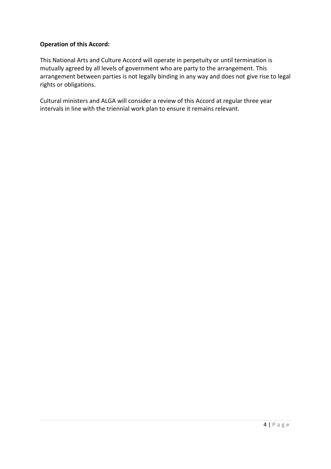### **Operation of this Accord:**

This National Arts and Culture Accord will operate in perpetuity or until termination is mutually agreed by all levels of government who are party to the arrangement. This arrangement between parties is not legally binding in any way and does not give rise to legal rights or obligations.

Cultural ministers and ALGA will consider a review of this Accord at regular three year intervals in line with the triennial work plan to ensure it remains relevant.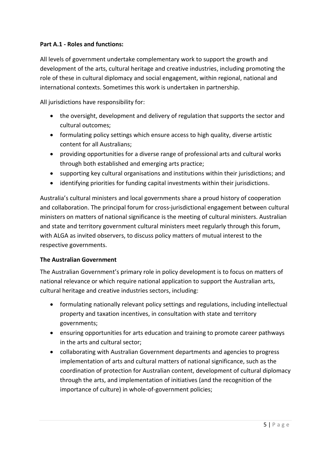## **Part A.1 - Roles and functions:**

All levels of government undertake complementary work to support the growth and development of the arts, cultural heritage and creative industries, including promoting the role of these in cultural diplomacy and social engagement, within regional, national and international contexts. Sometimes this work is undertaken in partnership.

All jurisdictions have responsibility for:

- the oversight, development and delivery of regulation that supports the sector and cultural outcomes;
- formulating policy settings which ensure access to high quality, diverse artistic content for all Australians;
- providing opportunities for a diverse range of professional arts and cultural works through both established and emerging arts practice;
- supporting key cultural organisations and institutions within their jurisdictions; and
- identifying priorities for funding capital investments within their jurisdictions.

Australia's cultural ministers and local governments share a proud history of cooperation and collaboration. The principal forum for cross-jurisdictional engagement between cultural ministers on matters of national significance is the meeting of cultural ministers. Australian and state and territory government cultural ministers meet regularly through this forum, with ALGA as invited observers, to discuss policy matters of mutual interest to the respective governments.

### **The Australian Government**

The Australian Government's primary role in policy development is to focus on matters of national relevance or which require national application to support the Australian arts, cultural heritage and creative industries sectors, including:

- formulating nationally relevant policy settings and regulations, including intellectual property and taxation incentives, in consultation with state and territory governments;
- ensuring opportunities for arts education and training to promote career pathways in the arts and cultural sector;
- collaborating with Australian Government departments and agencies to progress implementation of arts and cultural matters of national significance, such as the coordination of protection for Australian content, development of cultural diplomacy through the arts, and implementation of initiatives (and the recognition of the importance of culture) in whole-of-government policies;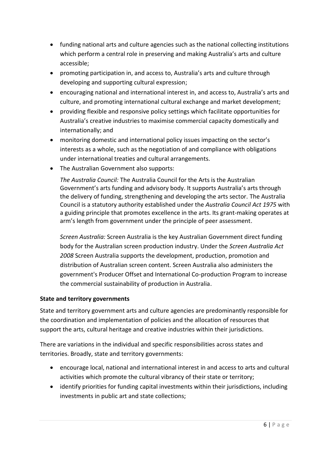- funding national arts and culture agencies such as the national collecting institutions which perform a central role in preserving and making Australia's arts and culture accessible;
- promoting participation in, and access to, Australia's arts and culture through developing and supporting cultural expression;
- encouraging national and international interest in, and access to, Australia's arts and culture, and promoting international cultural exchange and market development;
- providing flexible and responsive policy settings which facilitate opportunities for Australia's creative industries to maximise commercial capacity domestically and internationally; and
- monitoring domestic and international policy issues impacting on the sector's interests as a whole, such as the negotiation of and compliance with obligations under international treaties and cultural arrangements.
- The Australian Government also supports:

*The Australia Council:* The Australia Council for the Arts is the Australian Government's arts funding and advisory body. It supports Australia's arts through the delivery of funding, strengthening and developing the arts sector. The Australia Council is a statutory authority established under the *Australia Council Act 1975* with a guiding principle that promotes excellence in the arts. Its grant-making operates at arm's length from government under the principle of peer assessment.

*Screen Australia:* Screen Australia is the key Australian Government direct funding body for the Australian screen production industry. Under the *Screen Australia Act 2008* Screen Australia supports the development, production, promotion and distribution of Australian screen content. Screen Australia also administers the government's Producer Offset and International Co-production Program to increase the commercial sustainability of production in Australia.

## **State and territory governments**

State and territory government arts and culture agencies are predominantly responsible for the coordination and implementation of policies and the allocation of resources that support the arts, cultural heritage and creative industries within their jurisdictions.

There are variations in the individual and specific responsibilities across states and territories. Broadly, state and territory governments:

- encourage local, national and international interest in and access to arts and cultural activities which promote the cultural vibrancy of their state or territory;
- identify priorities for funding capital investments within their jurisdictions, including investments in public art and state collections;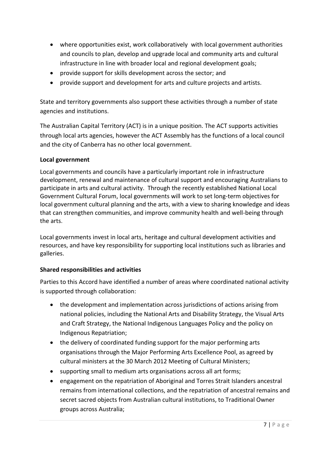- where opportunities exist, work collaboratively with local government authorities and councils to plan, develop and upgrade local and community arts and cultural infrastructure in line with broader local and regional development goals;
- provide support for skills development across the sector; and
- provide support and development for arts and culture projects and artists.

State and territory governments also support these activities through a number of state agencies and institutions.

The Australian Capital Territory (ACT) is in a unique position. The ACT supports activities through local arts agencies, however the ACT Assembly has the functions of a local council and the city of Canberra has no other local government.

## **Local government**

Local governments and councils have a particularly important role in infrastructure development, renewal and maintenance of cultural support and encouraging Australians to participate in arts and cultural activity. Through the recently established National Local Government Cultural Forum, local governments will work to set long-term objectives for local government cultural planning and the arts, with a view to sharing knowledge and ideas that can strengthen communities, and improve community health and well-being through the arts.

Local governments invest in local arts, heritage and cultural development activities and resources, and have key responsibility for supporting local institutions such as libraries and galleries.

## **Shared responsibilities and activities**

Parties to this Accord have identified a number of areas where coordinated national activity is supported through collaboration:

- the development and implementation across jurisdictions of actions arising from national policies, including the National Arts and Disability Strategy, the Visual Arts and Craft Strategy, the National Indigenous Languages Policy and the policy on Indigenous Repatriation;
- the delivery of coordinated funding support for the major performing arts organisations through the Major Performing Arts Excellence Pool, as agreed by cultural ministers at the 30 March 2012 Meeting of Cultural Ministers;
- supporting small to medium arts organisations across all art forms;
- engagement on the repatriation of Aboriginal and Torres Strait Islanders ancestral remains from international collections, and the repatriation of ancestral remains and secret sacred objects from Australian cultural institutions, to Traditional Owner groups across Australia;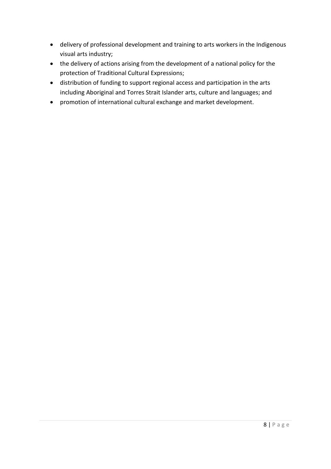- delivery of professional development and training to arts workers in the Indigenous visual arts industry;
- the delivery of actions arising from the development of a national policy for the protection of Traditional Cultural Expressions;
- distribution of funding to support regional access and participation in the arts including Aboriginal and Torres Strait Islander arts, culture and languages; and
- promotion of international cultural exchange and market development.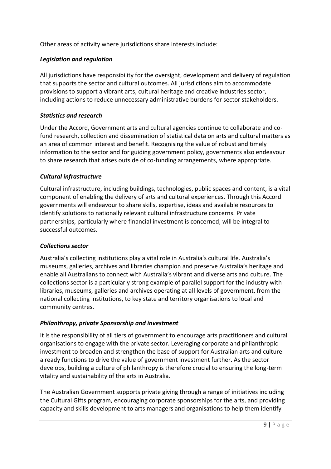Other areas of activity where jurisdictions share interests include:

## *Legislation and regulation*

All jurisdictions have responsibility for the oversight, development and delivery of regulation that supports the sector and cultural outcomes. All jurisdictions aim to accommodate provisions to support a vibrant arts, cultural heritage and creative industries sector, including actions to reduce unnecessary administrative burdens for sector stakeholders.

### *Statistics and research*

Under the Accord, Government arts and cultural agencies continue to collaborate and cofund research, collection and dissemination of statistical data on arts and cultural matters as an area of common interest and benefit. Recognising the value of robust and timely information to the sector and for guiding government policy, governments also endeavour to share research that arises outside of co-funding arrangements, where appropriate.

## *Cultural infrastructure*

Cultural infrastructure, including buildings, technologies, public spaces and content, is a vital component of enabling the delivery of arts and cultural experiences. Through this Accord governments will endeavour to share skills, expertise, ideas and available resources to identify solutions to nationally relevant cultural infrastructure concerns. Private partnerships, particularly where financial investment is concerned, will be integral to successful outcomes.

### *Collections sector*

Australia's collecting institutions play a vital role in Australia's cultural life. Australia's museums, galleries, archives and libraries champion and preserve Australia's heritage and enable all Australians to connect with Australia's vibrant and diverse arts and culture. The collections sector is a particularly strong example of parallel support for the industry with libraries, museums, galleries and archives operating at all levels of government, from the national collecting institutions, to key state and territory organisations to local and community centres.

### *Philanthropy, private Sponsorship and investment*

It is the responsibility of all tiers of government to encourage arts practitioners and cultural organisations to engage with the private sector. Leveraging corporate and philanthropic investment to broaden and strengthen the base of support for Australian arts and culture already functions to drive the value of government investment further. As the sector develops, building a culture of philanthropy is therefore crucial to ensuring the long-term vitality and sustainability of the arts in Australia.

The Australian Government supports private giving through a range of initiatives including the Cultural Gifts program, encouraging corporate sponsorships for the arts, and providing capacity and skills development to arts managers and organisations to help them identify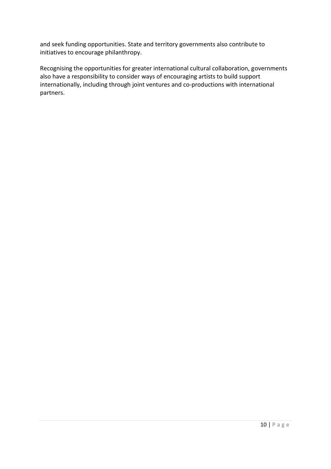and seek funding opportunities. State and territory governments also contribute to initiatives to encourage philanthropy.

Recognising the opportunities for greater international cultural collaboration, governments also have a responsibility to consider ways of encouraging artists to build support internationally, including through joint ventures and co-productions with international partners.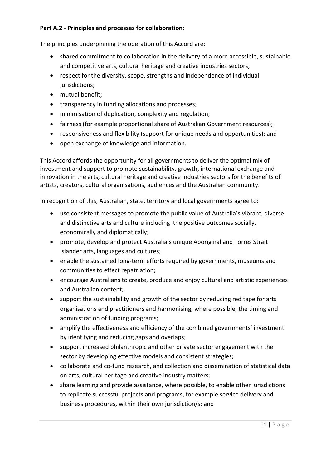## **Part A.2 - Principles and processes for collaboration:**

The principles underpinning the operation of this Accord are:

- shared commitment to collaboration in the delivery of a more accessible, sustainable and competitive arts, cultural heritage and creative industries sectors;
- respect for the diversity, scope, strengths and independence of individual jurisdictions:
- mutual benefit;
- transparency in funding allocations and processes;
- minimisation of duplication, complexity and regulation;
- fairness (for example proportional share of Australian Government resources);
- responsiveness and flexibility (support for unique needs and opportunities); and
- open exchange of knowledge and information.

This Accord affords the opportunity for all governments to deliver the optimal mix of investment and support to promote sustainability, growth, international exchange and innovation in the arts, cultural heritage and creative industries sectors for the benefits of artists, creators, cultural organisations, audiences and the Australian community.

In recognition of this, Australian, state, territory and local governments agree to:

- use consistent messages to promote the public value of Australia's vibrant, diverse and distinctive arts and culture including the positive outcomes socially, economically and diplomatically;
- promote, develop and protect Australia's unique Aboriginal and Torres Strait Islander arts, languages and cultures;
- enable the sustained long-term efforts required by governments, museums and communities to effect repatriation;
- encourage Australians to create, produce and enjoy cultural and artistic experiences and Australian content;
- support the sustainability and growth of the sector by reducing red tape for arts organisations and practitioners and harmonising, where possible, the timing and administration of funding programs;
- amplify the effectiveness and efficiency of the combined governments' investment by identifying and reducing gaps and overlaps;
- support increased philanthropic and other private sector engagement with the sector by developing effective models and consistent strategies;
- collaborate and co-fund research, and collection and dissemination of statistical data on arts, cultural heritage and creative industry matters;
- share learning and provide assistance, where possible, to enable other jurisdictions to replicate successful projects and programs, for example service delivery and business procedures, within their own jurisdiction/s; and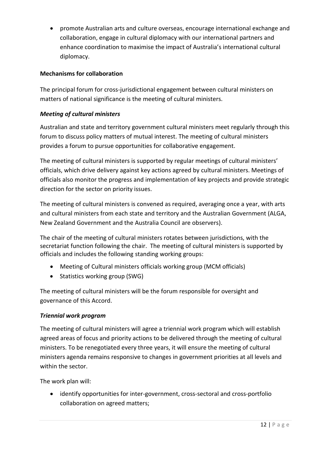promote Australian arts and culture overseas, encourage international exchange and collaboration, engage in cultural diplomacy with our international partners and enhance coordination to maximise the impact of Australia's international cultural diplomacy.

## **Mechanisms for collaboration**

The principal forum for cross-jurisdictional engagement between cultural ministers on matters of national significance is the meeting of cultural ministers.

## *Meeting of cultural ministers*

Australian and state and territory government cultural ministers meet regularly through this forum to discuss policy matters of mutual interest. The meeting of cultural ministers provides a forum to pursue opportunities for collaborative engagement.

The meeting of cultural ministers is supported by regular meetings of cultural ministers' officials, which drive delivery against key actions agreed by cultural ministers. Meetings of officials also monitor the progress and implementation of key projects and provide strategic direction for the sector on priority issues.

The meeting of cultural ministers is convened as required, averaging once a year, with arts and cultural ministers from each state and territory and the Australian Government (ALGA, New Zealand Government and the Australia Council are observers).

The chair of the meeting of cultural ministers rotates between jurisdictions, with the secretariat function following the chair. The meeting of cultural ministers is supported by officials and includes the following standing working groups:

- Meeting of Cultural ministers officials working group (MCM officials)
- Statistics working group (SWG)

The meeting of cultural ministers will be the forum responsible for oversight and governance of this Accord.

### *Triennial work program*

The meeting of cultural ministers will agree a triennial work program which will establish agreed areas of focus and priority actions to be delivered through the meeting of cultural ministers. To be renegotiated every three years, it will ensure the meeting of cultural ministers agenda remains responsive to changes in government priorities at all levels and within the sector.

The work plan will:

 identify opportunities for inter-government, cross-sectoral and cross-portfolio collaboration on agreed matters;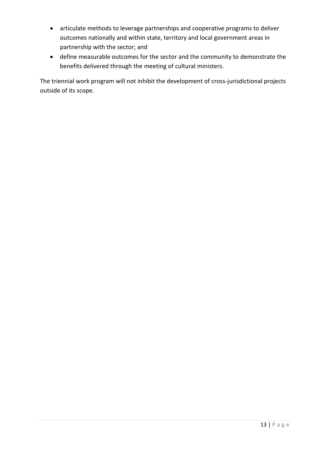- articulate methods to leverage partnerships and cooperative programs to deliver outcomes nationally and within state, territory and local government areas in partnership with the sector; and
- define measurable outcomes for the sector and the community to demonstrate the benefits delivered through the meeting of cultural ministers.

The triennial work program will not inhibit the development of cross-jurisdictional projects outside of its scope.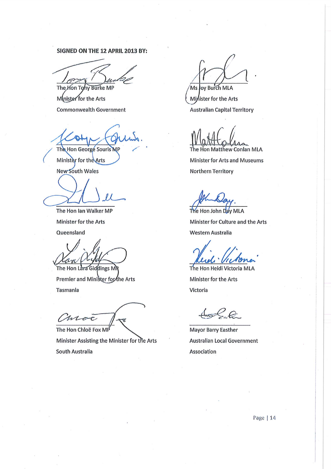#### SIGNED ON THE 12 APRIL 2013 BY:

The Hon Tony Burke MP

Minister for the Arts **Commonwealth Government** 

The Hon George Souris MP Minister for the Arts

**New South Wales** 

The Hon Ian Walker MP Minister for the Arts Queensland

M The Hon Lara Giddings Mi

Premier and Minister for the Arts **Tasmania** 

(Moc

The Hon Chloë Fox MP Minister Assisting the Minister for the Arts South Australia

Ms Joy Burch MLA

Minister for the Arts **Australian Capital Territory** 

Hon Matthew Conlan MLA

**Minister for Arts and Museums** 

**Northern Territory** 

The Hon John Day MLA Minister for Culture and the Arts Western Australia

The Hon Heidi Victoria MLA Minister for the Arts Victoria

 $-e$ 

**Mayor Barry Easther Australian Local Government** Association

Page | 14